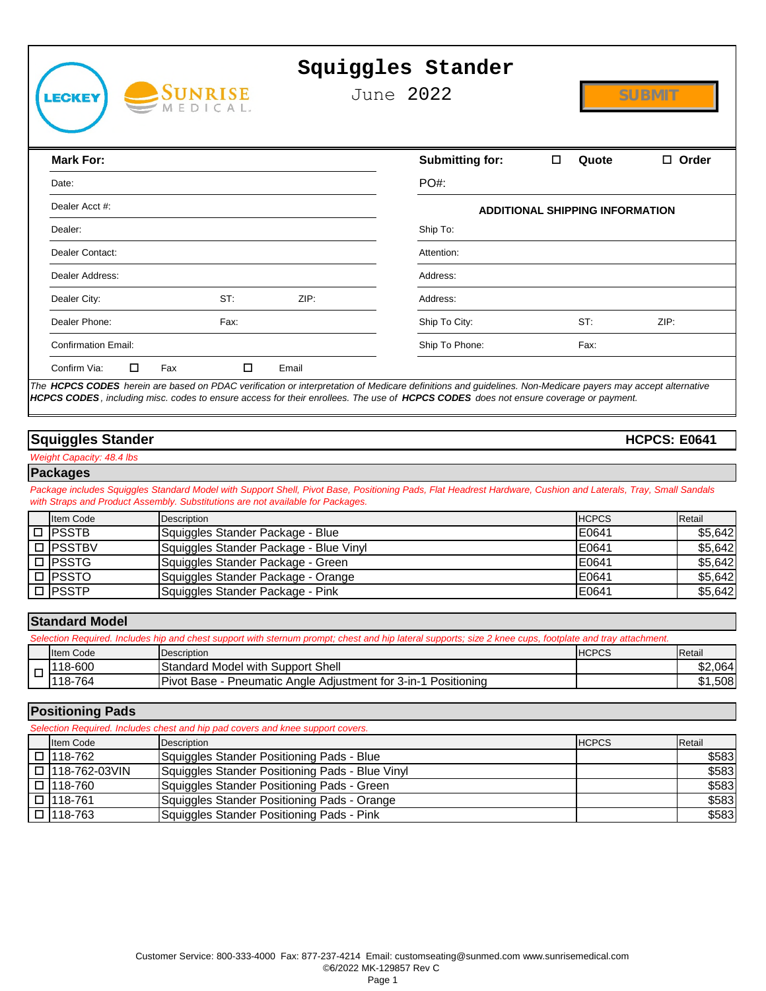|        |                            |                                                                                                                                                                                                                                                                                                    | Squiggles Stander      |                                        |                     |
|--------|----------------------------|----------------------------------------------------------------------------------------------------------------------------------------------------------------------------------------------------------------------------------------------------------------------------------------------------|------------------------|----------------------------------------|---------------------|
|        | :CKEY                      | SUNRISE                                                                                                                                                                                                                                                                                            | June 2022              |                                        | <b>SUBMIT</b>       |
|        | <b>Mark For:</b>           |                                                                                                                                                                                                                                                                                                    | <b>Submitting for:</b> | Quote                                  | $\Box$ Order        |
|        | Date:                      |                                                                                                                                                                                                                                                                                                    | <b>PO#:</b>            |                                        |                     |
|        | Dealer Acct #:             |                                                                                                                                                                                                                                                                                                    |                        |                                        |                     |
|        | Dealer:                    |                                                                                                                                                                                                                                                                                                    | Ship To:               | <b>ADDITIONAL SHIPPING INFORMATION</b> |                     |
|        |                            |                                                                                                                                                                                                                                                                                                    |                        |                                        |                     |
|        | Dealer Contact:            |                                                                                                                                                                                                                                                                                                    | Attention:             |                                        |                     |
|        | Dealer Address:            |                                                                                                                                                                                                                                                                                                    | Address:               |                                        |                     |
|        | Dealer City:               | ST:<br>ZIP:                                                                                                                                                                                                                                                                                        | Address:               |                                        |                     |
|        | Dealer Phone:              | Fax:                                                                                                                                                                                                                                                                                               | Ship To City:          | ST:                                    | ZIP:                |
|        | <b>Confirmation Email:</b> |                                                                                                                                                                                                                                                                                                    | Ship To Phone:         | Fax:                                   |                     |
|        | Confirm Via:<br>□          | □<br>Fax<br>Email                                                                                                                                                                                                                                                                                  |                        |                                        |                     |
|        |                            | The HCPCS CODES herein are based on PDAC verification or interpretation of Medicare definitions and guidelines. Non-Medicare payers may accept alternative<br>HCPCS CODES, including misc. codes to ensure access for their enrollees. The use of HCPCS CODES does not ensure coverage or payment. |                        |                                        |                     |
|        | <b>Squiggles Stander</b>   |                                                                                                                                                                                                                                                                                                    |                        |                                        | <b>HCPCS: E0641</b> |
|        | Weight Capacity: 48.4 lbs  |                                                                                                                                                                                                                                                                                                    |                        |                                        |                     |
|        | <b>Packages</b>            | Package includes Squiggles Standard Model with Support Shell, Pivot Base, Positioning Pads, Flat Headrest Hardware, Cushion and Laterals, Tray, Small Sandals<br>with Straps and Product Assembly. Substitutions are not available for Packages.                                                   |                        |                                        |                     |
|        | Item Code                  | Description                                                                                                                                                                                                                                                                                        |                        | <b>HCPCS</b>                           | Retail              |
|        | $\Box$ PSSTB<br>□ PSSTBV   | Squiggles Stander Package - Blue                                                                                                                                                                                                                                                                   |                        | E0641                                  | \$5,642             |
|        | $\Box$ PSSTG               | Squiggles Stander Package - Blue Vinyl<br>Squiggles Stander Package - Green                                                                                                                                                                                                                        |                        | E0641<br>E0641                         | \$5,642<br>\$5,642  |
|        | $\Box$ PSSTO               | Squiggles Stander Package - Orange                                                                                                                                                                                                                                                                 |                        | E0641                                  | \$5,642             |
|        | <b>PSSTP</b>               | Squiggles Stander Package - Pink                                                                                                                                                                                                                                                                   |                        | E0641                                  | \$5,642             |
|        |                            |                                                                                                                                                                                                                                                                                                    |                        |                                        |                     |
|        | <b>Standard Model</b>      |                                                                                                                                                                                                                                                                                                    |                        |                                        |                     |
|        |                            | Selection Required. Includes hip and chest support with sternum prompt; chest and hip lateral supports; size 2 knee cups, footplate and tray attachment.                                                                                                                                           |                        |                                        |                     |
|        | Item Code<br>118-600       | <b>Description</b><br><b>Standard Model with Support Shell</b>                                                                                                                                                                                                                                     |                        | <b>HCPCS</b>                           | Retail<br>\$2,064   |
| $\Box$ | 118-764                    | Pivot Base - Pneumatic Angle Adjustment for 3-in-1 Positioning                                                                                                                                                                                                                                     |                        |                                        | \$1,508             |
|        |                            |                                                                                                                                                                                                                                                                                                    |                        |                                        |                     |
|        | <b>Positioning Pads</b>    |                                                                                                                                                                                                                                                                                                    |                        |                                        |                     |
|        |                            | Selection Required. Includes chest and hip pad covers and knee support covers.                                                                                                                                                                                                                     |                        |                                        |                     |
|        | Item Code                  | Description                                                                                                                                                                                                                                                                                        |                        | <b>HCPCS</b>                           | Retail              |
|        | □ 118-762                  | Squiggles Stander Positioning Pads - Blue                                                                                                                                                                                                                                                          |                        |                                        | \$583               |
|        | $\Box$ 118-762-03VIN       | Squiggles Stander Positioning Pads - Blue Vinyl                                                                                                                                                                                                                                                    |                        |                                        | \$583               |
|        | $\Box$ 118-760             | Squiggles Stander Positioning Pads - Green                                                                                                                                                                                                                                                         |                        |                                        | \$583               |
|        | □ 118-761<br>□ 118-763     | Squiggles Stander Positioning Pads - Orange<br>Squiggles Stander Positioning Pads - Pink                                                                                                                                                                                                           |                        |                                        | \$583<br>\$583      |
|        |                            | Customer Service: 800-333-4000 Fax: 877-237-4214 Email: customseating@sunmed.com www.sunrisemedical.com<br>©6/2022 MK-129857 Rev C                                                                                                                                                                 |                        |                                        |                     |
|        |                            | Page 1                                                                                                                                                                                                                                                                                             |                        |                                        |                     |

## **Squiggles Stander**

#### **Packages**

| <b>Item Code</b> | Description                            | <b>HCPCS</b> | Retail  |
|------------------|----------------------------------------|--------------|---------|
| $\Box$ PSSTB     | Squiggles Stander Package - Blue       | E0641        | \$5,642 |
| □ PSSTBV         | Squiggles Stander Package - Blue Vinyl | E0641        | \$5,642 |
| <b>□ IPSSTG</b>  | Squiggles Stander Package - Green      | E0641        | \$5,642 |
| $\Box$ PSSTO     | Squiggles Stander Package - Orange     | E0641        | \$5,642 |
| $\Box$ PSSTP     | Squiggles Stander Package - Pink       | E0641        | \$5,642 |

### **Standard Model**

| Selection Required. Includes hip and chest support with sternum prompt: chest and hip lateral supports; size 2 knee cups, footplate and tray attachment. |                  |                                                                |              |         |  |  |
|----------------------------------------------------------------------------------------------------------------------------------------------------------|------------------|----------------------------------------------------------------|--------------|---------|--|--|
|                                                                                                                                                          | <b>Item Code</b> | Description                                                    | <b>HCPCS</b> | Retail  |  |  |
|                                                                                                                                                          | 118-600          | Standard Model with Support Shell                              |              | \$2,064 |  |  |
|                                                                                                                                                          | 118-764          | Pivot Base - Pneumatic Angle Adjustment for 3-in-1 Positioning |              | \$1,508 |  |  |

#### **Positioning Pads**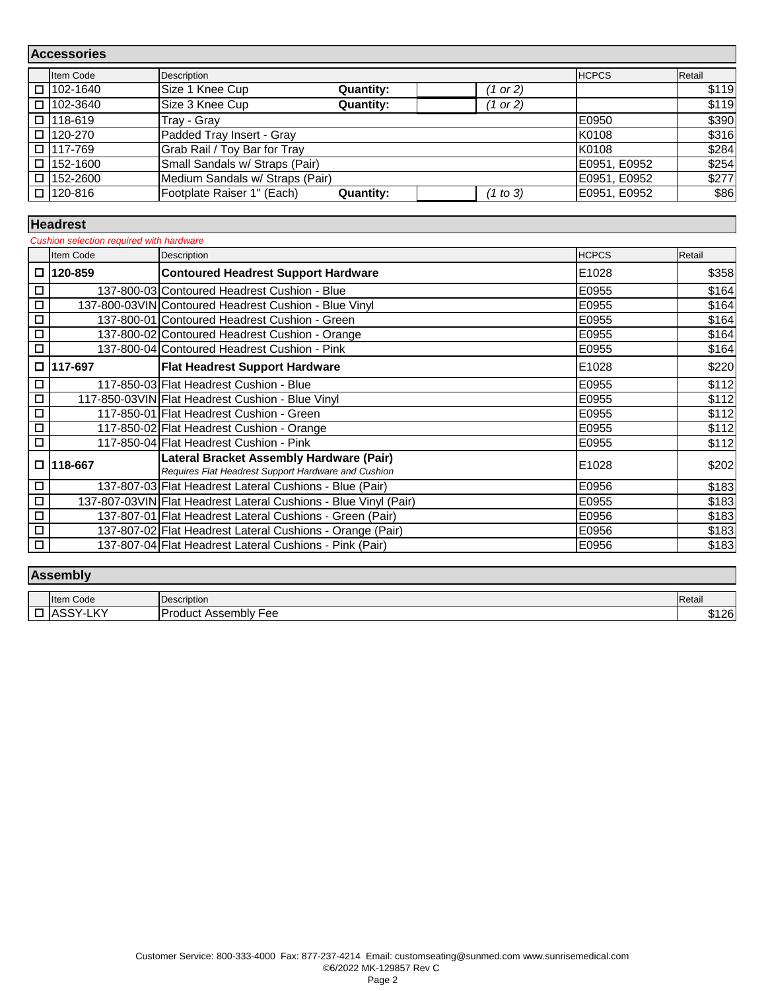| <b>Accessories</b> |                 |                                 |                  |          |              |        |
|--------------------|-----------------|---------------------------------|------------------|----------|--------------|--------|
|                    | Item Code       | Description                     |                  |          | <b>HCPCS</b> | Retail |
|                    | □ 102-1640      | Size 1 Knee Cup                 | <b>Quantity:</b> | (1 or 2) |              | \$119  |
|                    | □ 102-3640      | Size 3 Knee Cup                 | <b>Quantity:</b> | (1 or 2) |              | \$119  |
|                    | $\Box$ 118-619  | Tray - Gray                     |                  |          | E0950        | \$390  |
|                    | □ 120-270       | Padded Tray Insert - Gray       |                  |          | K0108        | \$316  |
|                    | □ 117-769       | Grab Rail / Toy Bar for Tray    |                  |          | K0108        | \$284  |
|                    | $\Box$ 152-1600 | Small Sandals w/ Straps (Pair)  |                  |          | E0951, E0952 | \$254  |
|                    | $\Box$ 152-2600 | Medium Sandals w/ Straps (Pair) |                  |          | E0951, E0952 | \$277  |
|                    | □ 120-816       | Footplate Raiser 1" (Each)      | <b>Quantity:</b> | (1 to 3) | E0951, E0952 | \$86   |

## **Headrest**

| Cushion selection required with hardware |           |                                                                                                 |              |        |
|------------------------------------------|-----------|-------------------------------------------------------------------------------------------------|--------------|--------|
|                                          | Item Code | Description                                                                                     | <b>HCPCS</b> | Retail |
| 0                                        | 120-859   | <b>Contoured Headrest Support Hardware</b>                                                      | E1028        | \$358  |
| □                                        |           | 137-800-03 Contoured Headrest Cushion - Blue                                                    | E0955        | \$164  |
| □                                        |           | 137-800-03VIN Contoured Headrest Cushion - Blue Vinyl                                           | E0955        | \$164  |
| □                                        |           | 137-800-01 Contoured Headrest Cushion - Green                                                   | E0955        | \$164  |
| □                                        |           | 137-800-02 Contoured Headrest Cushion - Orange                                                  | E0955        | \$164  |
| □                                        |           | 137-800-04 Contoured Headrest Cushion - Pink                                                    | E0955        | \$164  |
| □                                        | 117-697   | <b>Flat Headrest Support Hardware</b>                                                           | E1028        | \$220  |
| □                                        |           | 117-850-03 Flat Headrest Cushion - Blue                                                         | E0955        | \$112  |
| □                                        |           | 117-850-03VIN Flat Headrest Cushion - Blue Vinyl                                                | E0955        | \$112  |
| □                                        |           | 117-850-01 Flat Headrest Cushion - Green                                                        | E0955        | \$112  |
| □                                        |           | 117-850-02 Flat Headrest Cushion - Orange                                                       | E0955        | \$112  |
| П                                        |           | 117-850-04 Flat Headrest Cushion - Pink                                                         | E0955        | \$112  |
| □                                        | 118-667   | Lateral Bracket Assembly Hardware (Pair)<br>Requires Flat Headrest Support Hardware and Cushion | E1028        | \$202  |
| □                                        |           | 137-807-03 Flat Headrest Lateral Cushions - Blue (Pair)                                         | E0956        | \$183  |
| □                                        |           | 137-807-03VIN Flat Headrest Lateral Cushions - Blue Vinyl (Pair)                                | E0955        | \$183  |
| □                                        |           | 137-807-01 Flat Headrest Lateral Cushions - Green (Pair)                                        | E0956        | \$183  |
| □                                        |           | 137-807-02 Flat Headrest Lateral Cushions - Orange (Pair)                                       | E0956        | \$183  |
| □                                        |           | 137-807-04 Flat Headrest Lateral Cushions - Pink (Pair)                                         | E0956        | \$183  |

# **Assembly**

|   | <b>Item Code</b>             | <b>Description</b>                              | Retai          |
|---|------------------------------|-------------------------------------------------|----------------|
| _ | $\mathcal{L}$<br>$\sim$<br>- | _<br>Product<br>Accam<br>⊦ee<br>nbiv<br>יוסכפר. | $\sim$<br>⊍⊥∠ບ |